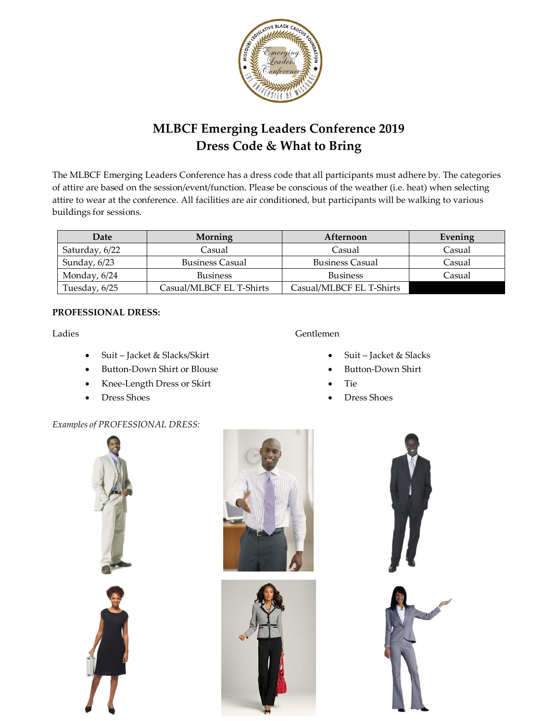

# **MLBCF Emerging Leaders Conference 2019 Dress Code & What to Bring**

The MLBCF Emerging Leaders Conference has a dress code that all participants must adhere by. The categories of attire are based on the session/event/function. Please be conscious of the weather (i.e. heat) when selecting attire to wear at the conference. All facilities are air conditioned, but participants will be walking to various buildings for sessions.

| Date           | Morning                  | Afternoon                | Evening |
|----------------|--------------------------|--------------------------|---------|
| Saturday, 6/22 | Casual                   | Casual                   | Casual  |
| Sunday, $6/23$ | <b>Business Casual</b>   | <b>Business Casual</b>   | Casual  |
| Monday, 6/24   | <b>Business</b>          | <b>Business</b>          | Casual  |
| Tuesday, 6/25  | Casual/MLBCF EL T-Shirts | Casual/MLBCF EL T-Shirts |         |

### **PROFESSIONAL DRESS:**

Ladies

- Suit Jacket & Slacks/Skirt
- Button-Down Shirt or Blouse
- Knee-Length Dress or Skirt
- Dress Shoes

## Gentlemen

- Suit Jacket & Slacks
- Button-Down Shirt
- Tie
- Dress Shoes

## *Examples of PROFESSIONAL DRESS:*